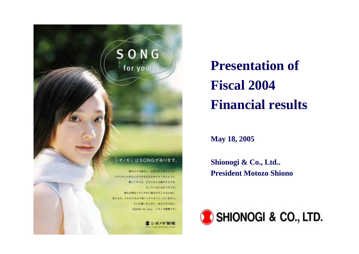

**Presentation of Fiscal 2004Financial results**

**May 18, 2005**

**Shionogi & Co., Ltd.. President Motozo Shiono**

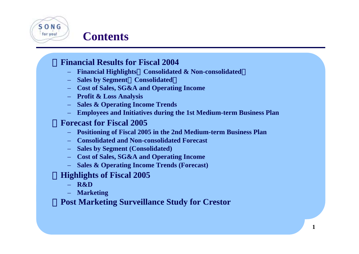# $S \cap N$  G for you!

#### **Contents**

#### ・**Financial Results for Fiscal 2004**

- **Financial Highlights**(**Consolidated & Non-consolidated**)
- **Sales by Segment**(**Consolidated**)
- **Cost of Sales, SG&A and Operating Income**
- **Profit & Loss Analysis**
- **Sales & Operating Income Trends**
- **Employees and Initiatives during the 1st Medium-term Business Plan**

#### ・**Forecast for Fiscal 2005**

- **Positioning of Fiscal 2005 in the 2nd Medium-term Business Plan**
- **Consolidated and Non-consolidated Forecast**
- **Sales by Segment (Consolidated)**
- **Cost of Sales, SG&A and Operating Income**
- **Sales & Operating Income Trends (Forecast)**

#### ・**Highlights of Fiscal 2005**

- **R&D**
- **Marketing**

#### **Post Marketing Surveillance Study for Crestor**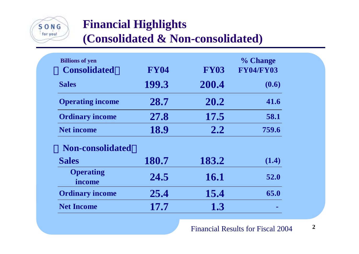

### **Financial Highlights**

**(Consolidated & Non-consolidated)**

| <b>Billions of yen</b><br><b>Consolidated</b> | <b>FY04</b> | <b>FY03</b>   | % Change<br><b>FY04/FY03</b> |
|-----------------------------------------------|-------------|---------------|------------------------------|
| <b>Sales</b>                                  | 199.3       | 200.4         | (0.6)                        |
| <b>Operating income</b>                       | 28.7        | 20.2          | 41.6                         |
| <b>Ordinary income</b>                        | 27.8        | 17.5          | 58.1                         |
| <b>Net income</b>                             | 18.9        | $2.2^{\circ}$ | 759.6                        |
| <b>Non-consolidated</b>                       |             |               |                              |
| <b>Sales</b>                                  | 180.7       | 183.2         | (1.4)                        |
| <b>Operating</b><br>income                    | 24.5        | <b>16.1</b>   | 52.0                         |
| <b>Ordinary income</b>                        | 25.4        | 15.4          | 65.0                         |
| <b>Net Income</b>                             | 17.7        | 1.3           |                              |

**2**Financial Results for Fiscal 2004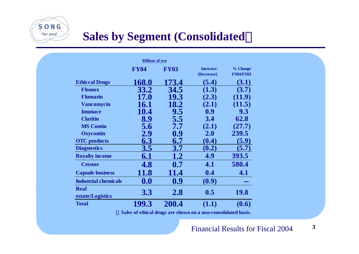### **Sales by Segment (Consolidated**)

 $S$  O N G for you!

| <b>Billions</b> of yen      |             |             |            |                  |  |
|-----------------------------|-------------|-------------|------------|------------------|--|
|                             | <b>FY04</b> | <b>FY03</b> | Increase/  | % Change         |  |
|                             |             |             | (Decrease) | <b>FY04/FY03</b> |  |
| <b>Ethiccal Drugs</b>       | 168.0       | 173.4       | (5.4)      | (3.1)            |  |
| <b>Flomox</b>               | 33.2        | 34.5        | (1.3)      | (3.7)            |  |
| <b>Flumarin</b>             | <b>17.0</b> | 19.3        | (2.3)      | (11.9)           |  |
| <b>Vancomycin</b>           | 16.1        | 18.2        | (2.1)      | (11.5)           |  |
| <b>Imunace</b>              | 10.4        | 9.5         | 0.9        | 9.3              |  |
| <b>Claritin</b>             | 8.9         | 5.5         | 3.4        | 62.8             |  |
| <b>MS Contin</b>            | 5.6         | 7.7         | (2.1)      | (27.7)           |  |
| <b>Oxycontin</b>            | 2.9         | 0.9         | 2.0        | 239.5            |  |
| <b>OTC</b> products         | 6.3         | 6.7         | (0.4)      | (5.9)            |  |
| <b>Diagnostics</b>          | 3.5         | 3.7         | (0.2)      | (5.7)            |  |
| <b>Royalty income</b>       | 6.1         | 1.2         | 4.9        | 393.5            |  |
| <b>Crestor</b>              | 4.8         | 0.7         | 4.1        | 580.4            |  |
| <b>Capsule business</b>     | 11.8        | 11.4        | 0.4        | 4.1              |  |
| <b>Industrial chemicals</b> | 0.0         | 0.9         | (0.9)      |                  |  |
| <b>Real</b>                 |             |             | 0.5        | <b>19.8</b>      |  |
| estate/Logistics            | <b>3.3</b>  | <b>2.8</b>  |            |                  |  |
| <b>Total</b>                | 199.3       | 200.4       | (1.1)      | (0.6)            |  |

Sales of ethical drugs are shown on a non-consolidated basis.

**3** Financial Results for Fiscal 2004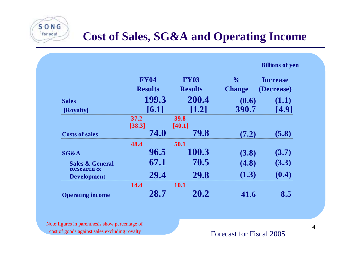### **Cost of Sales, SG&A and Operating Income**

|                                        | <b>FY04</b>    | <b>FY03</b>           | $\frac{0}{0}$ | <b>Increase</b> |
|----------------------------------------|----------------|-----------------------|---------------|-----------------|
|                                        | <b>Results</b> | <b>Results</b>        | <b>Change</b> | (Decrease)      |
| <b>Sales</b>                           | 199.3          | 200.4                 | (0.6)         | (1.1)           |
| [Royalty]                              | [6.1]          | $\left[1.2\right]$    | 390.7         | [4.9]           |
|                                        | 37.2<br>[38.3] | <b>39.8</b><br>[40.1] |               |                 |
| <b>Costs of sales</b>                  | 74.0           | 79.8                  | (7.2)         | (5.8)           |
|                                        | 48.4           | 50.1                  |               |                 |
| <b>SG&amp;A</b>                        | 96.5           | 100.3                 | (3.8)         | (3.7)           |
| <b>Sales &amp; General</b>             | 67.1           | 70.5                  | (4.8)         | (3.3)           |
| $x$ kesearch $x$<br><b>Development</b> | 29.4           | 29.8                  | (1.3)         | (0.4)           |
|                                        | 14.4           | <b>10.1</b>           |               |                 |
| <b>Operating income</b>                | 28.7           | 20.2                  | 41.6          | 8.5             |

Note:figures in parenthesis show percentage of cost of goods against sales excluding royalty

 $S$  O N G for you!

Forecast for Fiscal 2005

**Billions o f yen**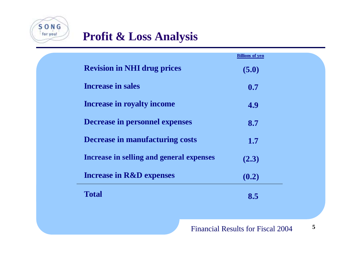

#### **Profit & Loss Analysis**

| <b>Billions of yen</b> |  |
|------------------------|--|
| (5.0)                  |  |
| 0.7                    |  |
| 4.9                    |  |
| 8.7                    |  |
| 1.7                    |  |
| (2.3)                  |  |
| (0.2)                  |  |
| 8.5                    |  |
|                        |  |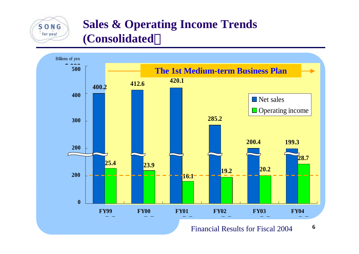#### **Sales & Operating Income Trends (Consolidated**)

 $S$  O N G for you!



**6**Financial Results for Fiscal 2004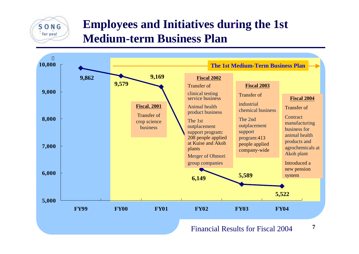#### **Employees and Initiatives during the 1st Medium-term Business Plan**

SONG for you!



**7**Financial Results for Fiscal 2004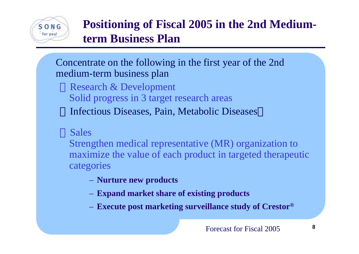

# **Positioning of Fiscal 2005 in the 2nd Mediumterm Business Plan**

Concentrate on the following in the first year of the 2nd medium-term business plan

Research & Development Solid progress in 3 target research areas Infectious Diseases, Pain, Metabolic Diseases

#### Sales

Strengthen medical representative (MR) organization to maximize the value of each product in targeted therapeutic categories

- **Nurture new products**
- **Expand market share of existing products**
- **Execute post marketing surveillance study of Crestor ®**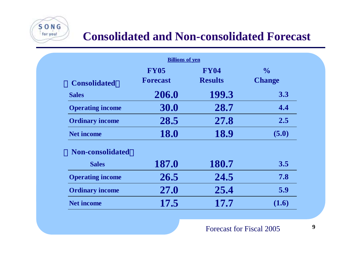

 $S$  O N G for you!

|                         | <b>Billions of yen</b> |                |               |
|-------------------------|------------------------|----------------|---------------|
|                         | <b>FY05</b>            | <b>FY04</b>    | $\frac{0}{0}$ |
| <b>Consolidated</b>     | <b>Forecast</b>        | <b>Results</b> | <b>Change</b> |
| <b>Sales</b>            | 206.0                  | 199.3          | 3.3           |
| <b>Operating income</b> | 30.0                   | 28.7           | 4.4           |
| <b>Ordinary income</b>  | 28.5                   | 27.8           | $2.5^{\circ}$ |
| <b>Net income</b>       | <b>18.0</b>            | 18.9           | (5.0)         |
| <b>Non-consolidated</b> |                        |                |               |
| <b>Sales</b>            | 187.0                  | 180.7          | 3.5           |
| <b>Operating income</b> | 26.5                   | 24.5           | 7.8           |
| <b>Ordinary income</b>  | 27.0                   | 25.4           | 5.9           |
| <b>Net income</b>       | 17.5                   | 17.7           | (1.6)         |
|                         |                        |                |               |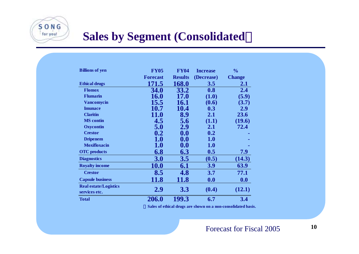

### **Sales by Segment (Consolidated**)

| <b>Billions of yen</b>       | <b>FY05</b>     | <b>FY04</b>    | <b>Increase</b> | $\frac{0}{0}$ |
|------------------------------|-----------------|----------------|-----------------|---------------|
|                              | <b>Forecast</b> | <b>Results</b> | (Decrease)      | <b>Change</b> |
| <b>Ethical drugs</b>         | 171.5           | <b>168.0</b>   | 3.5             | 2.1           |
| <b>Flomox</b>                | <b>34.0</b>     | 33.2           | 0.8             | 2.4           |
| <b>Flumarin</b>              | <b>16.0</b>     | <b>17.0</b>    | (1.0)           | (5.9)         |
| <b>Vancomycin</b>            | 15.5            | <b>16.1</b>    | (0.6)           | (3.7)         |
| <b>Imunace</b>               | 10.7            | 10.4           | 0.3             | 2.9           |
| <b>Claritin</b>              | <b>11.0</b>     | 8.9            | 2.1             | 23.6          |
| <b>MS</b> contin             | 4.5             | 5.6            | (1.1)           | (19.6)        |
| <b>Oxycontin</b>             | 5.0             | 2.9            | 2.1             | 72.4          |
| <b>Crestor</b>               | 0.2             | 0.0            | 0.2             |               |
| <b>Dripenem</b>              | <b>1.0</b>      | 0.0            | <b>1.0</b>      |               |
| <b>Moxifloxacin</b>          | <b>1.0</b>      | 0.0            | <b>1.0</b>      |               |
| <b>OTC</b> products          | 6.8             | 6.3            | 0.5             | 7.9           |
| <b>Diagnostics</b>           | <b>3.0</b>      | 3.5            | (0.5)           | (14.3)        |
| <b>Royalty income</b>        | <b>10.0</b>     | 6.1            | <b>3.9</b>      | 63.9          |
| <b>Crestor</b>               | 8.5             | 4.8            | 3.7             | 77.1          |
| <b>Capsule business</b>      | <b>11.8</b>     | <b>11.8</b>    | 0.0             | 0.0           |
| <b>Real estate/Logistics</b> | 2.9             |                |                 |               |
| services etc.                |                 | 3.3            | (0.4)           | (12.1)        |
| <b>Total</b>                 | 206.0           | 199.3          | 6.7             | 3.4           |

\***Sales of ethical drugs are shown on a non-consolidated basis.**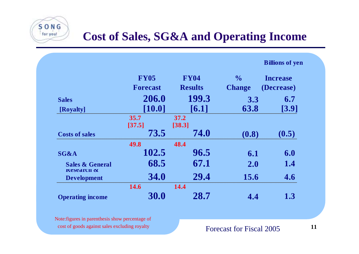

|                                                |                 |                |               | <b>Billions of yen</b> |
|------------------------------------------------|-----------------|----------------|---------------|------------------------|
|                                                | <b>FY05</b>     | <b>FY04</b>    | $\frac{0}{0}$ | <b>Increase</b>        |
|                                                | <b>Forecast</b> | <b>Results</b> | <b>Change</b> | (Decrease)             |
| <b>Sales</b>                                   | 206.0           | 199.3          | 3.3           | 6.7                    |
| [Royalty]                                      | $[10.0]$        | [6.1]          | 63.8          | $[3.9]$                |
|                                                | 35.7<br>[37.5]  | 37.2<br>[38.3] |               |                        |
| <b>Costs of sales</b>                          | 73.5            | 74.0           | (0.8)         | (0.5)                  |
|                                                | 49.8            | 48.4           |               |                        |
| <b>SG&amp;A</b>                                | 102.5           | 96.5           | 6.1           | 6.0                    |
| <b>Sales &amp; General</b><br>$x$ kesearch $x$ | 68.5            | 67.1           | 2.0           | 1.4                    |
| <b>Development</b>                             | <b>34.0</b>     | 29.4           | 15.6          | 4.6                    |
|                                                | 14.6            | 14.4           |               |                        |
| <b>Operating income</b>                        | <b>30.0</b>     | 28.7           | 4.4           | 1.3                    |

Note:figures in parenthesis show percentage of cost of goods against sales excluding royalty

 $S$  O N G for you!

Forecast for Fiscal 2005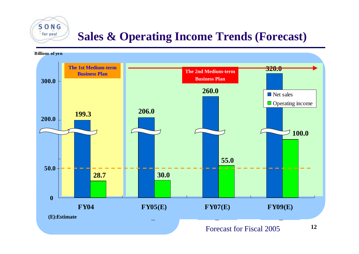# **Sales & Operating Income Trends (Forecast)**

 $S$  O N G for you!

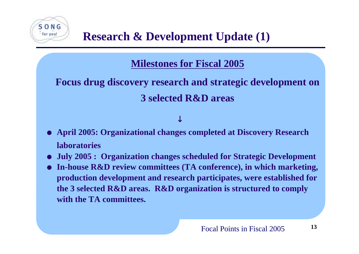

#### **Milestones for Fiscal 2005**

## **Focus drug discovery research and strategic development on 3 selected R&D areas**

- O **April 2005: Organizational changes completed at Discovery Research laboratories**
- O**July 2005 : Organization changes scheduled for Strategic Development**
- O **In-house R&D review committees (TA conference), in which marketing, production development and research participates, were established for the 3 selected R&D areas. R&D organization is structured to comply with the TA committees.**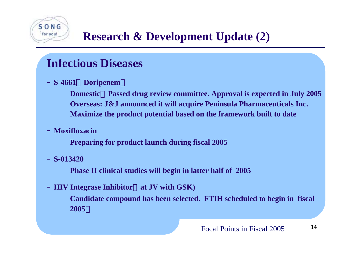# **Research & Development Update (2)**

### **Infectious Diseases**

**- S-4661**(**Doripenem**)

 **Domestic**:**Passed drug review committee. Approval is expected in July 2005 Overseas: J&J announced it will acquire Peninsula Pharmaceuticals Inc. Maximize the product potential based on the framework built to date**

**- Moxifloxacin**

**Preparing for product launch during fiscal 2005**

**- S-013420**

 $0NG$ for you!

**Phase II clinical studies will begin in latter half of 2005**

**- HIV Integrase Inhibitor**(**at JV with GSK)**

 **Candidate compound has been selected. FTIH scheduled to begin in fiscal 2005**。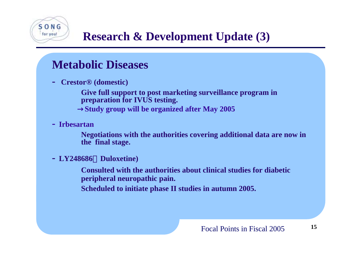

# **Research & Development Update (3)**

#### **Metabolic Diseases**

**- Crestor® (domestic)**

**Give full support to post marketing surveillance program in preparation for IVUS testing. Study group will be organized after May 2005** 

**- Irbesartan**

**Negotiations with the authorities covering additional data are now in the final stage.**

**- LY248686**(**Duloxetine)**

**Consulted with the authorities about clinical studies for diabeticperipheral neuropathic pain.**

**Scheduled to initiate phase II studies in autumn 2005.**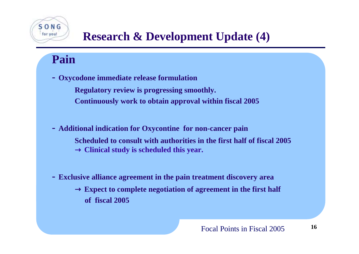# **Research & Development Update (4)**

### **Pain**

 $O N G$ for you!

**- Oxycodone immediate release formulation**

**Regulatory review is progressing smoothly. Continuously work to obtain approval within fiscal 2005**

- **- Additional indication for Oxycontine for non-cancer pain Scheduled to consult with authorities in the first half of fiscal 2005**Clinical study is scheduled this year.
- **- Exclusive alliance agreement in the pain treatment discovery area Expect to complete negotiation of agreement in the first half of fiscal 2005**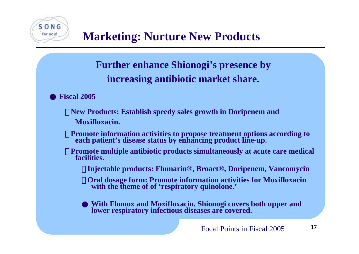

#### **Further enhance Shionogi's presence by increasing antibiotic market share.**

● **Fiscal 2005**

- ・ **New Products: Establish speedy sales growth in Doripenem and Moxifloxacin.**
- ・ **Promote information activities to propose treatment options according to each patient's disease status by enhancing product line-up.**
- ・ **Promote multiple antibiotic products simultaneously at acute care medical facilities.**
	- ・ **Injectable products: Flumarin®, Broact®, Doripenem, Vancomycin**
	- ・ **Oral dosage form: Promote information activities for Moxifloxacin with the theme of of 'respiratory quinolone.'**

● **With Flomox and Moxifloxacin, Shionogi covers both upper and lower respiratory infectious diseases are covered.**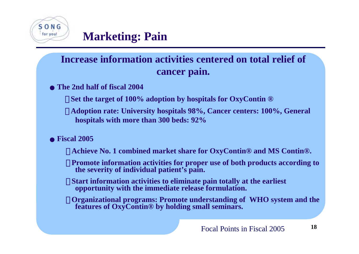

#### **Increase information activities centered on total relief ofcancer pain.**

#### **The 2nd half of fiscal 2004**

- **Set the target of 100% adoption by hospitals for OxyContin ®**
- ・ **Adoption rate: University hospitals 98%, Cancer centers: 100%, General hospitals with more than 300 beds: 92%**

#### **Fiscal 2005**

- ・ **Achieve No. 1 combined market share for OxyContin® and MS Contin®.**
- **Promote information activities for proper use of both products according to the severity of individual patient's pain.**
- **Start information activities to eliminate pain totally at the earliest opportunity with the immediate release formulation.**
- ・ **Organizational programs: Promote understanding of WHO system and the features of OxyContin® by holding small seminars.**

**18**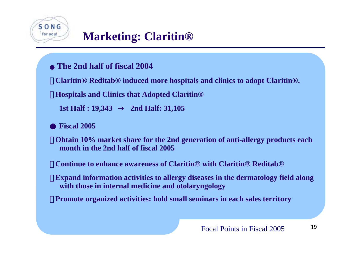

**The 2nd half of fiscal 2004**

・ **Claritin® Reditab® induced more hospitals and clinics to adopt Claritin®.**

・ **Hospitals and Clinics that Adopted Claritin®**

**1st Half : 19,343** → **2nd Half: 31,105**

● **Fiscal 2005**

・ **Obtain 10% market share for the 2nd generation of anti-allergy products each month in the 2nd half of fiscal 2005**

・ **Continue to enhance awareness of Claritin® with Claritin® Reditab®**

**Expand information activities to allergy diseases in the dermatology field along with those in internal medicine and otolaryngology**

**Promote organized activities: hold small seminars in each sales territory** 

**19**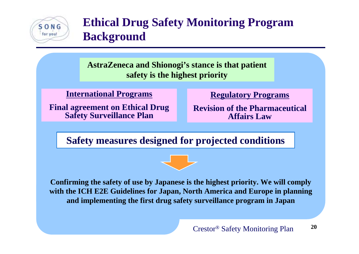

### **Ethical Drug Safety Monitoring Program Background**

**AstraZeneca and Shionogi's stance is that patient safety is the highest priority**

**International Programs**

**Final agreement on Ethical Drug Safety Surveillance Plan**

**Regulatory Programs**

**Revision of the PharmaceuticalAffairs Law**

**Safety measures designed for projected conditions**

**Confirming the safety of use by Japanese is the highest priority. We will comply with the ICH E2E Guidelines for Japan, North America and Europe in planning and implementing the first drug safety surveillance program in Japan**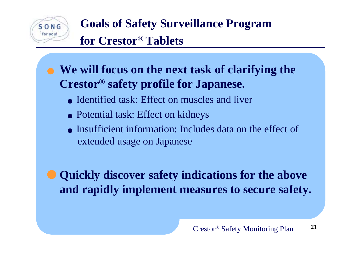

**Goals of Safety Surveillance Program for Crestor® Tablets**

## **We will focus on the next task of clarifying the Crestor® safety profile for Japanese.**

- Identified task: Effect on muscles and liver
- Potential task: Effect on kidneys
- Insufficient information: Includes data on the effect ofextended usage on Japanese

 **Quickly discover safety indications for the above and rapidly implement measures to secure safety.**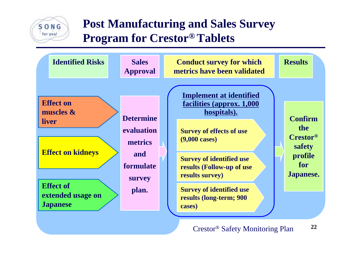

#### **Post Manufacturing and Sales Survey Program for Crestor® Tablets**

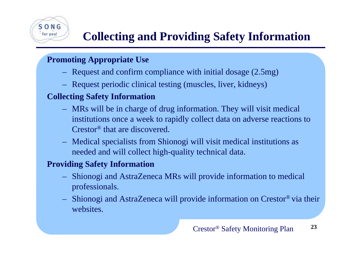#### **Promoting Appropriate Use**

 $O N G$ for you!

- Request and confirm compliance with initial dosage (2.5mg)
- Request periodic clinical testing (muscles, liver, kidneys)

#### **Collecting Safety Information**

- MRs will be in charge of drug information. They will visit medical institutions once a week to rapidly collect data on adverse reactions to Crestor® that are discovered.
- Medical specialists from Shionogi will visit medical institutions as needed and will collect high-quality technical data.

#### **Providing Safety Information**

- Shionogi and AstraZeneca MRs will provide information to medical professionals.
- Shionogi and AstraZeneca will provide information on Crestor® via their websites.